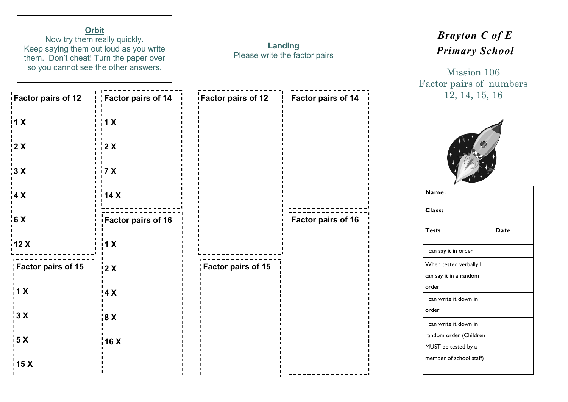| <b>Orbit</b><br>Now try them really quickly.<br>Keep saying them out loud as you write<br>them. Don't cheat! Turn the paper over<br>so you cannot see the other answers. |                           | Landing<br>Please write the factor pairs |                                  |  |
|--------------------------------------------------------------------------------------------------------------------------------------------------------------------------|---------------------------|------------------------------------------|----------------------------------|--|
| <b>Factor pairs of 12</b>                                                                                                                                                | <b>Factor pairs of 14</b> | <b>Factor pairs of 12</b>                | $\frac{1}{1}$ Factor pairs of 14 |  |
| $\mathbf{1}$ X                                                                                                                                                           | 1 X                       |                                          |                                  |  |
| $\frac{1}{2}$ X                                                                                                                                                          | 2 X                       |                                          |                                  |  |
| 13X                                                                                                                                                                      | 7 X                       |                                          |                                  |  |
| $\frac{1}{4}$ X                                                                                                                                                          | 14X                       |                                          |                                  |  |
| $\frac{1}{16}$ X                                                                                                                                                         | Factor pairs of 16        |                                          | <b>Factor pairs of 16</b>        |  |
| 12X                                                                                                                                                                      | $\mathsf{I} \mathsf{X}$   |                                          |                                  |  |
| Factor pairs of 15                                                                                                                                                       | $\frac{1}{2}$ X           | Factor pairs of 15                       |                                  |  |
| 1 <sub>X</sub>                                                                                                                                                           | 4 X                       |                                          |                                  |  |
| 3 X                                                                                                                                                                      | $^{\prime}$ 8 $\times$    |                                          |                                  |  |
| $\frac{1}{2}$ 5 X                                                                                                                                                        | 16 X                      |                                          |                                  |  |
| 15X                                                                                                                                                                      |                           |                                          |                                  |  |

## *Brayton C of E Primary School*

Mission 106 Factor pairs of numbers 12, 14, 15, 16



| Name:                   |      |  |  |  |  |
|-------------------------|------|--|--|--|--|
| Class:                  |      |  |  |  |  |
| <b>Tests</b>            | Date |  |  |  |  |
| l can say it in order   |      |  |  |  |  |
| When tested verbally I  |      |  |  |  |  |
| can say it in a random  |      |  |  |  |  |
| order                   |      |  |  |  |  |
| I can write it down in  |      |  |  |  |  |
| order.                  |      |  |  |  |  |
| I can write it down in  |      |  |  |  |  |
| random order (Children  |      |  |  |  |  |
| MUST be tested by a     |      |  |  |  |  |
| member of school staff) |      |  |  |  |  |